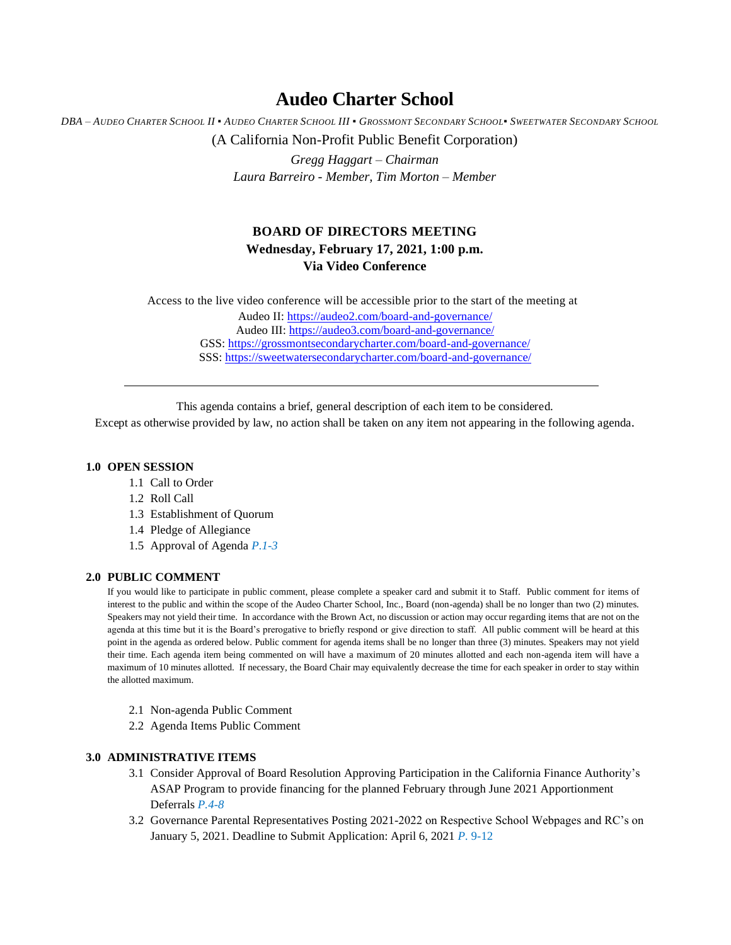# **Audeo Charter School**

DBA - AUDEO CHARTER SCHOOL II . AUDEO CHARTER SCHOOL III . GROSSMONT SECONDARY SCHOOL. SWEETWATER SECONDARY SCHOOL (A California Non-Profit Public Benefit Corporation)

> *Gregg Haggart – Chairman Laura Barreiro - Member, Tim Morton – Member*

# **BOARD OF DIRECTORS MEETING Wednesday, February 17, 2021, 1:00 p.m. Via Video Conference**

Access to the live video conference will be accessible prior to the start of the meeting at Audeo II[: https://audeo2.com/board-and-governance/](https://audeo2.com/board-and-governance/) Audeo III:<https://audeo3.com/board-and-governance/> GSS:<https://grossmontsecondarycharter.com/board-and-governance/> SSS:<https://sweetwatersecondarycharter.com/board-and-governance/>

This agenda contains a brief, general description of each item to be considered.

Except as otherwise provided by law, no action shall be taken on any item not appearing in the following agenda.

#### **1.0 OPEN SESSION**

- 1.1 Call to Order
- 1.2 Roll Call
- 1.3 Establishment of Quorum
- 1.4 Pledge of Allegiance
- 1.5 Approval of Agenda *P.1-3*

## **2.0 PUBLIC COMMENT**

If you would like to participate in public comment, please complete a speaker card and submit it to Staff. Public comment for items of interest to the public and within the scope of the Audeo Charter School, Inc., Board (non-agenda) shall be no longer than two (2) minutes. Speakers may not yield their time. In accordance with the Brown Act, no discussion or action may occur regarding items that are not on the agenda at this time but it is the Board's prerogative to briefly respond or give direction to staff. All public comment will be heard at this point in the agenda as ordered below. Public comment for agenda items shall be no longer than three (3) minutes. Speakers may not yield their time. Each agenda item being commented on will have a maximum of 20 minutes allotted and each non-agenda item will have a maximum of 10 minutes allotted. If necessary, the Board Chair may equivalently decrease the time for each speaker in order to stay within the allotted maximum.

- 2.1 Non-agenda Public Comment
- 2.2 Agenda Items Public Comment

# **3.0 ADMINISTRATIVE ITEMS**

- 3.1 Consider Approval of Board Resolution Approving Participation in the California Finance Authority's ASAP Program to provide financing for the planned February through June 2021 Apportionment Deferrals *P.4-8*
- 3.2 Governance Parental Representatives Posting 2021-2022 on Respective School Webpages and RC's on January 5, 2021. Deadline to Submit Application: April 6, 2021 *P.* 9-12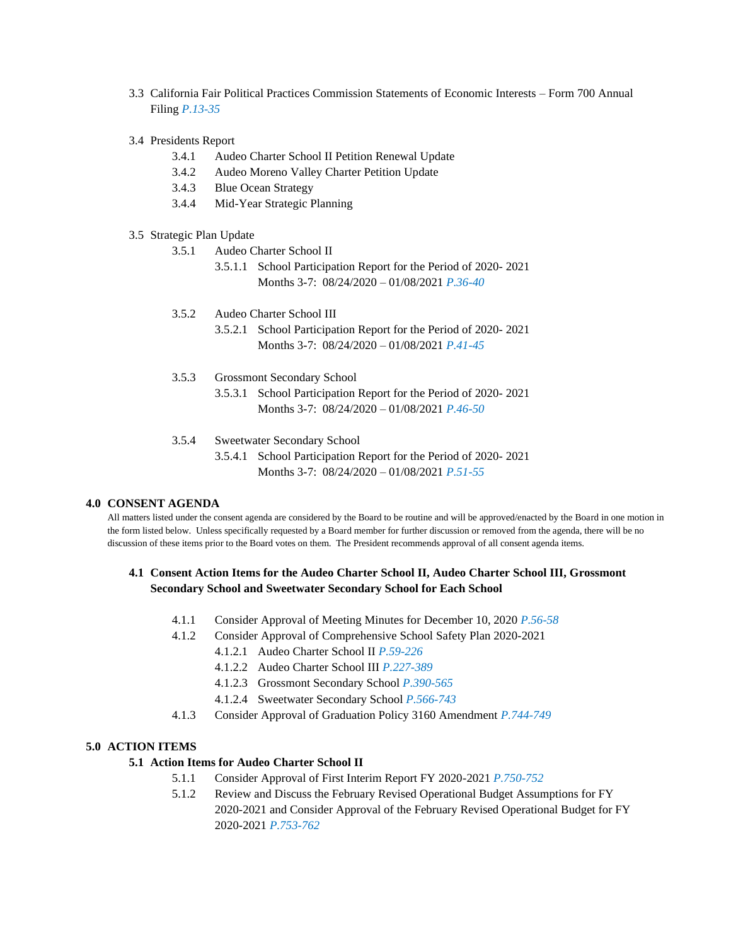- 3.3 California Fair Political Practices Commission Statements of Economic Interests Form 700 Annual Filing *P.13-35*
- 3.4 Presidents Report
	- 3.4.1 Audeo Charter School II Petition Renewal Update
	- 3.4.2 Audeo Moreno Valley Charter Petition Update
	- 3.4.3 Blue Ocean Strategy
	- 3.4.4 Mid-Year Strategic Planning
- 3.5 Strategic Plan Update
	- 3.5.1 Audeo Charter School II
		- 3.5.1.1 School Participation Report for the Period of 2020- 2021 Months 3-7: 08/24/2020 – 01/08/2021 *P.36-40*
	- 3.5.2 Audeo Charter School III
		- 3.5.2.1 School Participation Report for the Period of 2020- 2021 Months 3-7: 08/24/2020 – 01/08/2021 *P.41-45*
	- 3.5.3 Grossmont Secondary School
		- 3.5.3.1 School Participation Report for the Period of 2020- 2021 Months 3-7: 08/24/2020 – 01/08/2021 *P.46-50*
	- 3.5.4 Sweetwater Secondary School
		- 3.5.4.1 School Participation Report for the Period of 2020- 2021 Months 3-7: 08/24/2020 – 01/08/2021 *P.51-55*

#### **4.0 CONSENT AGENDA**

All matters listed under the consent agenda are considered by the Board to be routine and will be approved/enacted by the Board in one motion in the form listed below. Unless specifically requested by a Board member for further discussion or removed from the agenda, there will be no discussion of these items prior to the Board votes on them. The President recommends approval of all consent agenda items.

# **4.1 Consent Action Items for the Audeo Charter School II, Audeo Charter School III, Grossmont Secondary School and Sweetwater Secondary School for Each School**

- 4.1.1 Consider Approval of Meeting Minutes for December 10, 2020 *P.56-58*
- 4.1.2 Consider Approval of Comprehensive School Safety Plan 2020-2021
	- 4.1.2.1 Audeo Charter School II *P.59-226*
	- 4.1.2.2 Audeo Charter School III *P.227-389*
	- 4.1.2.3 Grossmont Secondary School *P.390-565*
	- 4.1.2.4 Sweetwater Secondary School *P.566-743*
- 4.1.3 Consider Approval of Graduation Policy 3160 Amendment *P.744-749*

#### **5.0 ACTION ITEMS**

#### **5.1 Action Items for Audeo Charter School II**

- 5.1.1 Consider Approval of First Interim Report FY 2020-2021 *P.750-752*
- 5.1.2 Review and Discuss the February Revised Operational Budget Assumptions for FY 2020-2021 and Consider Approval of the February Revised Operational Budget for FY 2020-2021 *P.753-762*